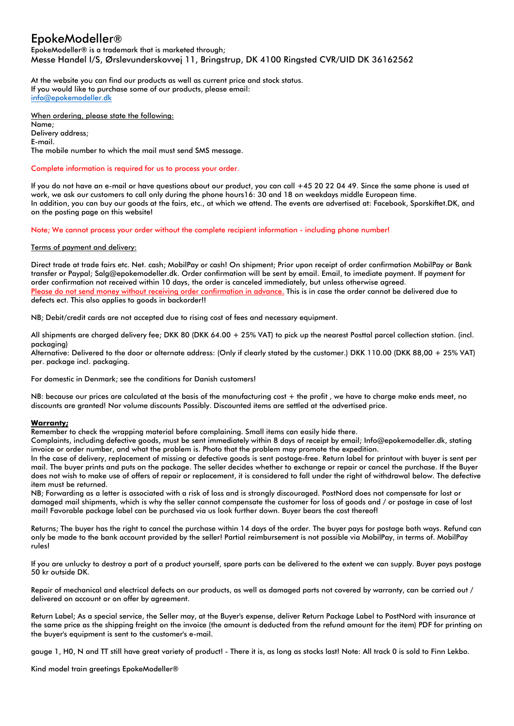## EpokeModeller®

EpokeModeller® is a trademark that is marketed through; Messe Handel I/S, Ørslevunderskovvej 11, Bringstrup, DK 4100 Ringsted CVR/UID DK 36162562

At the website you can find our products as well as current price and stock status. If you would like to purchase some of our products, please email: info@epokemodeller.dk

When ordering, please state the following: Name; Delivery address; E-mail. The mobile number to which the mail must send SMS message.

Complete information is required for us to process your order.

If you do not have an e-mail or have questions about our product, you can call +45 20 22 04 49. Since the same phone is used at work, we ask our customers to call only during the phone hours16: 30 and 18 on weekdays middle European time. In addition, you can buy our goods at the fairs, etc., at which we attend. The events are advertised at: Facebook, Sporskiftet.DK, and on the posting page on this website!

Note; We cannot process your order without the complete recipient information - including phone number!

## Terms of payment and delivery:

Direct trade at trade fairs etc. Net. cash; MobilPay or cash! On shipment; Prior upon receipt of order confirmation MobilPay or Bank transfer or Paypal; Salg@epokemodeller.dk. Order confirmation will be sent by email. Email, to imediate payment. If payment for order confirmation not received within 10 days, the order is canceled immediately, but unless otherwise agreed. Please do not send money without receiving order confirmation in advance. This is in case the order cannot be delivered due to defects ect. This also applies to goods in backorder!!

NB; Debit/credit cards are not accepted due to rising cost of fees and necessary equipment.

All shipments are charged delivery fee; DKK 80 (DKK 64.00 + 25% VAT) to pick up the nearest Posttal parcel collection station. (incl. packaging)

Alternative: Delivered to the door or alternate address: (Only if clearly stated by the customer.) DKK 110.00 (DKK 88,00 + 25% VAT) per. package incl. packaging.

For domestic in Denmark; see the conditions for Danish customers!

NB: because our prices are calculated at the basis of the manufacturing cost + the profit , we have to charge make ends meet, no discounts are granted! Nor volume discounts Possibly. Discounted items are settled at the advertised price.

## **Warranty;**

Remember to check the wrapping material before complaining. Small items can easily hide there.

Complaints, including defective goods, must be sent immediately within 8 days of receipt by email; Info@epokemodeller.dk, stating invoice or order number, and what the problem is. Photo that the problem may promote the expedition.

In the case of delivery, replacement of missing or defective goods is sent postage-free. Return label for printout with buyer is sent per mail. The buyer prints and puts on the package. The seller decides whether to exchange or repair or cancel the purchase. If the Buyer does not wish to make use of offers of repair or replacement, it is considered to fall under the right of withdrawal below. The defective item must be returned.

NB; Forwarding as a letter is associated with a risk of loss and is strongly discouraged. PostNord does not compensate for lost or damaged mail shipments, which is why the seller cannot compensate the customer for loss of goods and / or postage in case of lost mail! Favorable package label can be purchased via us look further down. Buyer bears the cost thereof!

Returns; The buyer has the right to cancel the purchase within 14 days of the order. The buyer pays for postage both ways. Refund can only be made to the bank account provided by the seller! Partial reimbursement is not possible via MobilPay, in terms of. MobilPay rules!

If you are unlucky to destroy a part of a product yourself, spare parts can be delivered to the extent we can supply. Buyer pays postage 50 kr outside DK.

Repair of mechanical and electrical defects on our products, as well as damaged parts not covered by warranty, can be carried out / delivered on account or on offer by agreement.

Return Label; As a special service, the Seller may, at the Buyer's expense, deliver Return Package Label to PostNord with insurance at the same price as the shipping freight on the invoice (the amount is deducted from the refund amount for the item) PDF for printing on the buyer's equipment is sent to the customer's e-mail.

gauge 1, H0, N and TT still have great variety of product! - There it is, as long as stocks last! Note: All track 0 is sold to Finn Lekbo.

Kind model train greetings EpokeModeller®